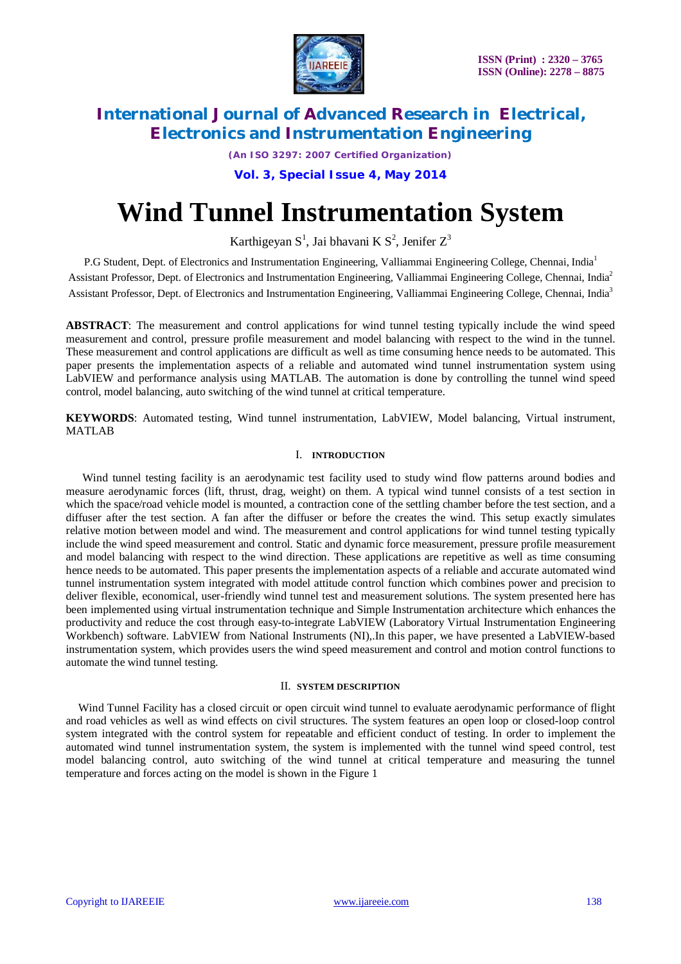

*(An ISO 3297: 2007 Certified Organization)*

### **Vol. 3, Special Issue 4, May 2014**

# **Wind Tunnel Instrumentation System**

Karthigeyan S<sup>1</sup>, Jai bhavani K S<sup>2</sup>, Jenifer Z<sup>3</sup>

P.G Student, Dept. of Electronics and Instrumentation Engineering, Valliammai Engineering College, Chennai, India<sup>1</sup> Assistant Professor, Dept. of Electronics and Instrumentation Engineering, Valliammai Engineering College, Chennai, India<sup>2</sup> Assistant Professor, Dept. of Electronics and Instrumentation Engineering, Valliammai Engineering College, Chennai, India<sup>3</sup>

**ABSTRACT**: The measurement and control applications for wind tunnel testing typically include the wind speed measurement and control, pressure profile measurement and model balancing with respect to the wind in the tunnel. These measurement and control applications are difficult as well as time consuming hence needs to be automated. This paper presents the implementation aspects of a reliable and automated wind tunnel instrumentation system using LabVIEW and performance analysis using MATLAB. The automation is done by controlling the tunnel wind speed control, model balancing, auto switching of the wind tunnel at critical temperature.

**KEYWORDS**: Automated testing, Wind tunnel instrumentation, LabVIEW, Model balancing, Virtual instrument, MATLAB

#### I. **INTRODUCTION**

Wind tunnel testing facility is an aerodynamic test facility used to study wind flow patterns around bodies and measure aerodynamic forces (lift, thrust, drag, weight) on them. A typical wind tunnel consists of a test section in which the space/road vehicle model is mounted, a contraction cone of the settling chamber before the test section, and a diffuser after the test section. A fan after the diffuser or before the creates the wind. This setup exactly simulates relative motion between model and wind. The measurement and control applications for wind tunnel testing typically include the wind speed measurement and control. Static and dynamic force measurement, pressure profile measurement and model balancing with respect to the wind direction. These applications are repetitive as well as time consuming hence needs to be automated. This paper presents the implementation aspects of a reliable and accurate automated wind tunnel instrumentation system integrated with model attitude control function which combines power and precision to deliver flexible, economical, user-friendly wind tunnel test and measurement solutions. The system presented here has been implemented using virtual instrumentation technique and Simple Instrumentation architecture which enhances the productivity and reduce the cost through easy-to-integrate LabVIEW (Laboratory Virtual Instrumentation Engineering Workbench) software. LabVIEW from National Instruments (NI),.In this paper, we have presented a LabVIEW-based instrumentation system, which provides users the wind speed measurement and control and motion control functions to automate the wind tunnel testing.

#### II. **SYSTEM DESCRIPTION**

Wind Tunnel Facility has a closed circuit or open circuit wind tunnel to evaluate aerodynamic performance of flight and road vehicles as well as wind effects on civil structures. The system features an open loop or closed-loop control system integrated with the control system for repeatable and efficient conduct of testing. In order to implement the automated wind tunnel instrumentation system, the system is implemented with the tunnel wind speed control, test model balancing control, auto switching of the wind tunnel at critical temperature and measuring the tunnel temperature and forces acting on the model is shown in the Figure 1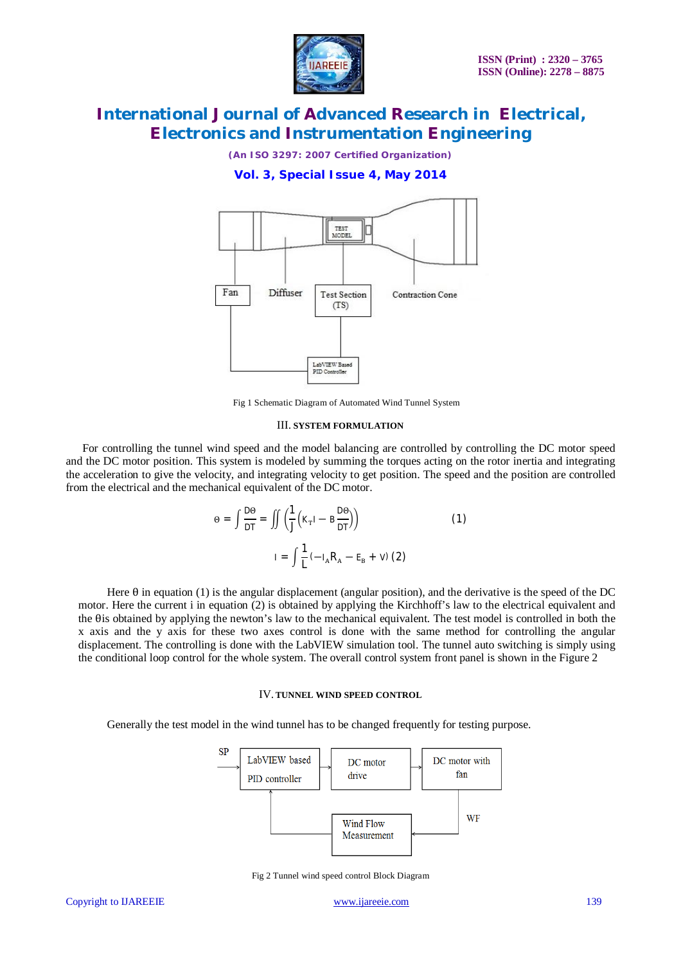

*(An ISO 3297: 2007 Certified Organization)*

**Vol. 3, Special Issue 4, May 2014**



Fig 1 Schematic Diagram of Automated Wind Tunnel System

#### III. **SYSTEM FORMULATION**

For controlling the tunnel wind speed and the model balancing are controlled by controlling the DC motor speed and the DC motor position. This system is modeled by summing the torques acting on the rotor inertia and integrating the acceleration to give the velocity, and integrating velocity to get position. The speed and the position are controlled from the electrical and the mechanical equivalent of the DC motor.

$$
\Theta = \int \frac{D\Theta}{DT} = \iint \left(\frac{1}{J} \left(\kappa_{\rm T} I - B \frac{D\Theta}{DT}\right)\right)
$$
(1)  

$$
I = \int \frac{1}{L} \left(-I_{\rm A} R_{\rm A} - E_{\rm B} + V\right) (2)
$$

Here  $\theta$  in equation (1) is the angular displacement (angular position), and the derivative is the speed of the DC motor. Here the current i in equation (2) is obtained by applying the Kirchhoff's law to the electrical equivalent and the θis obtained by applying the newton's law to the mechanical equivalent. The test model is controlled in both the x axis and the y axis for these two axes control is done with the same method for controlling the angular displacement. The controlling is done with the LabVIEW simulation tool. The tunnel auto switching is simply using the conditional loop control for the whole system. The overall control system front panel is shown in the Figure 2

#### IV.**TUNNEL WIND SPEED CONTROL**

Generally the test model in the wind tunnel has to be changed frequently for testing purpose.



Fig 2 Tunnel wind speed control Block Diagram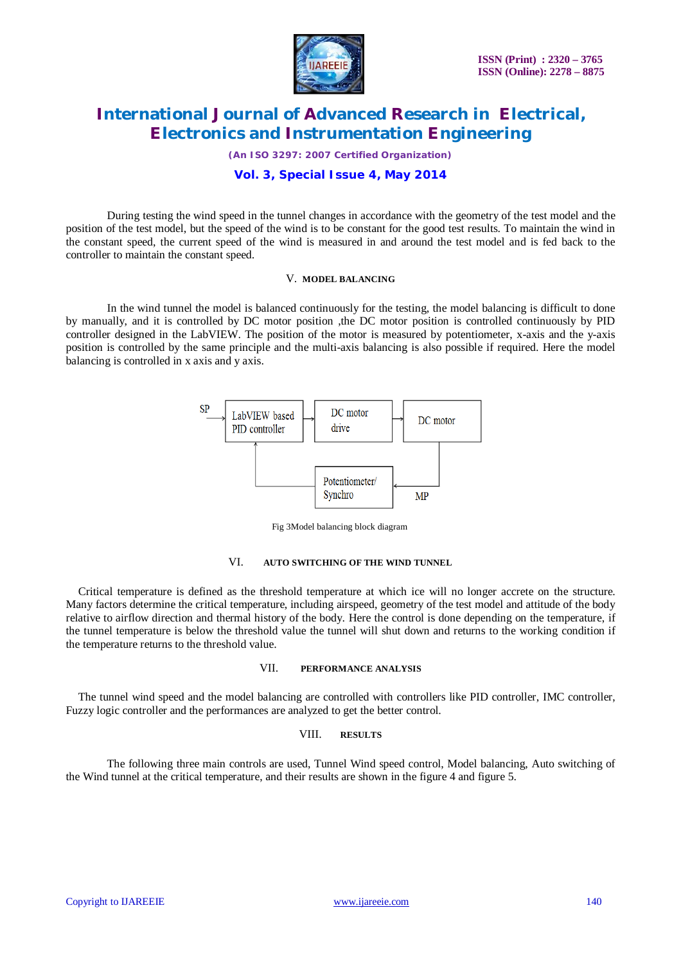

*(An ISO 3297: 2007 Certified Organization)*

### **Vol. 3, Special Issue 4, May 2014**

During testing the wind speed in the tunnel changes in accordance with the geometry of the test model and the position of the test model, but the speed of the wind is to be constant for the good test results. To maintain the wind in the constant speed, the current speed of the wind is measured in and around the test model and is fed back to the controller to maintain the constant speed.

#### V. **MODEL BALANCING**

In the wind tunnel the model is balanced continuously for the testing, the model balancing is difficult to done by manually, and it is controlled by DC motor position ,the DC motor position is controlled continuously by PID controller designed in the LabVIEW. The position of the motor is measured by potentiometer, x-axis and the y-axis position is controlled by the same principle and the multi-axis balancing is also possible if required. Here the model balancing is controlled in x axis and y axis.



Fig 3Model balancing block diagram

#### VI. **AUTO SWITCHING OF THE WIND TUNNEL**

Critical temperature is defined as the threshold temperature at which ice will no longer accrete on the structure. Many factors determine the critical temperature, including airspeed, geometry of the test model and attitude of the body relative to airflow direction and thermal history of the body. Here the control is done depending on the temperature, if the tunnel temperature is below the threshold value the tunnel will shut down and returns to the working condition if the temperature returns to the threshold value.

#### VII. **PERFORMANCE ANALYSIS**

The tunnel wind speed and the model balancing are controlled with controllers like PID controller, IMC controller, Fuzzy logic controller and the performances are analyzed to get the better control.

#### VIII. **RESULTS**

The following three main controls are used, Tunnel Wind speed control, Model balancing, Auto switching of the Wind tunnel at the critical temperature, and their results are shown in the figure 4 and figure 5.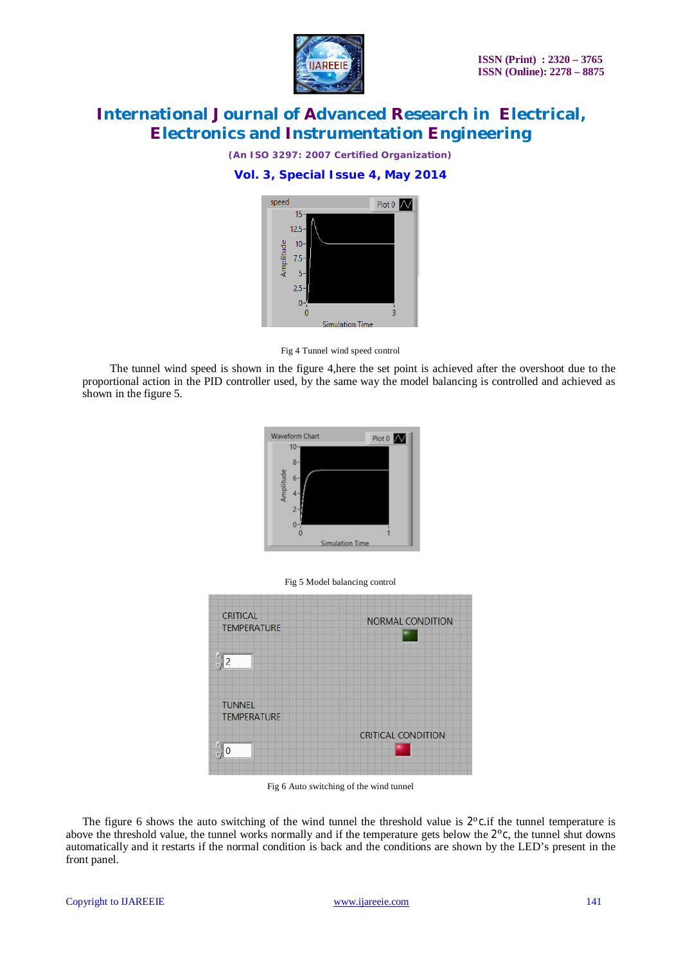

*(An ISO 3297: 2007 Certified Organization)*

### **Vol. 3, Special Issue 4, May 2014**



Fig 4 Tunnel wind speed control

The tunnel wind speed is shown in the figure 4,here the set point is achieved after the overshoot due to the proportional action in the PID controller used, by the same way the model balancing is controlled and achieved as shown in the figure 5.



#### Fig 5 Model balancing control



Fig 6 Auto switching of the wind tunnel

The figure 6 shows the auto switching of the wind tunnel the threshold value is  $2^{\circ}$ c.if the tunnel temperature is above the threshold value, the tunnel works normally and if the temperature gets below the 2<sup>o</sup>c, the tunnel shut downs automatically and it restarts if the normal condition is back and the conditions are shown by the LED's present in the front panel.